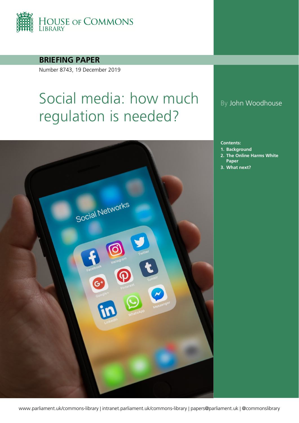

**BRIEFING PAPER**

Number 8743, 19 December 2019

# Social media: how much regulation is needed?



## By John Woodhouse

**Contents:**

- **1. [Background](#page-3-0)**
- **2. [The Online Harms White](#page-10-0)  [Paper](#page-10-0)**
- **3. [What next?](#page-22-0)**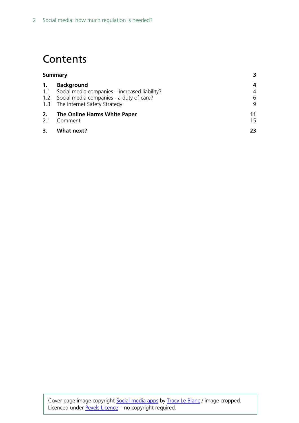## **Contents**

| <b>Summary</b> |                                                                                                                                                            |                  |
|----------------|------------------------------------------------------------------------------------------------------------------------------------------------------------|------------------|
| 1.             | <b>Background</b><br>1.1 Social media companies – increased liability?<br>1.2 Social media companies - a duty of care?<br>1.3 The Internet Safety Strategy | 4<br>4<br>6<br>9 |
| 2.<br>2.1      | The Online Harms White Paper<br>Comment                                                                                                                    | 11<br>15         |
| 3.             | What next?                                                                                                                                                 | 23               |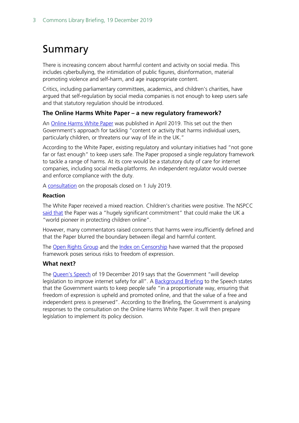## <span id="page-2-0"></span>Summary

There is increasing concern about harmful content and activity on social media. This includes cyberbullying, the intimidation of public figures, disinformation, material promoting violence and self-harm, and age inappropriate content.

Critics, including parliamentary committees, academics, and children's charities, have argued that self-regulation by social media companies is not enough to keep users safe and that statutory regulation should be introduced.

#### **The Online Harms White Paper – a new regulatory framework?**

An [Online Harms White Paper](https://assets.publishing.service.gov.uk/government/uploads/system/uploads/attachment_data/file/793360/Online_Harms_White_Paper.pdf) was published in April 2019. This set out the then Government's approach for tackling "content or activity that harms individual users, particularly children, or threatens our way of life in the UK."

According to the White Paper, existing regulatory and voluntary initiatives had "not gone far or fast enough" to keep users safe. The Paper proposed a single regulatory framework to tackle a range of harms. At its core would be a statutory duty of care for internet companies, including social media platforms. An independent regulator would oversee and enforce compliance with the duty.

A [consultation](https://www.gov.uk/government/consultations/online-harms-white-paper) on the proposals closed on 1 July 2019.

#### **Reaction**

The White Paper received a mixed reaction. Children's charities were positive. The NSPCC [said that](https://www.nspcc.org.uk/what-we-do/news-opinion/government-listens-wild-west-web-campaign-launches-white-paper/) the Paper was a "hugely significant commitment" that could make the UK a "world pioneer in protecting children online".

However, many commentators raised concerns that harms were insufficiently defined and that the Paper blurred the boundary between illegal and harmful content.

The [Open Rights Group](https://www.openrightsgroup.org/about/) and the [Index on Censorship](https://www.indexoncensorship.org/what-we-do/) have warned that the proposed framework poses serious risks to freedom of expression.

#### **What next?**

The [Queen's Speech](https://www.gov.uk/government/speeches/queens-speech-december-2019) of 19 December 2019 says that the Government "will develop legislation to improve internet safety for all". A [Background Briefing](https://assets.publishing.service.gov.uk/government/uploads/system/uploads/attachment_data/file/853886/Queen_s_Speech_December_2019_-_background_briefing_notes.pdf) to the Speech states that the Government wants to keep people safe "in a proportionate way, ensuring that freedom of expression is upheld and promoted online, and that the value of a free and independent press is preserved". According to the Briefing, the Government is analysing responses to the consultation on the Online Harms White Paper. It will then prepare legislation to implement its policy decision.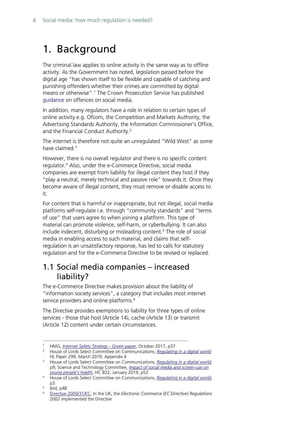## <span id="page-3-0"></span>1. Background

The criminal law applies to online activity in the same way as to offline activity. As the Government has noted, legislation passed before the digital age "has shown itself to be flexible and capable of catching and punishing offenders whether their crimes are committed by digital means or otherwise".[1](#page-3-2) The Crown Prosecution Service has published [guidance](http://www.cps.gov.uk/legal/a_to_c/communications_sent_via_social_media/) on offences on social media.

In addition, many regulators have a role in relation to certain types of online activity e.g. Ofcom, the Competition and Markets Authority, the Advertising Standards Authority, the Information Commissioner's Office, and the Financial Conduct Authority[.2](#page-3-3)

The internet is therefore not quite an unregulated "Wild West" as some have claimed.<sup>[3](#page-3-4)</sup>

However, there is no overall regulator and there is no specific content regulator.<sup>[4](#page-3-5)</sup> Also, under the e-Commerce Directive, social media companies are exempt from liability for illegal content they host if they "play a neutral, merely technical and passive role" towards it. Once they become aware of illegal content, they must remove or disable access to it.

For content that is harmful or inappropriate, but not illegal, social media platforms self-regulate i.e. through "community standards" and "terms of use" that users agree to when joining a platform. This type of material can promote violence, self-harm, or cyberbullying. It can also include indecent, disturbing or misleading content.[5](#page-3-6) The role of social media in enabling access to such material, and claims that selfregulation is an unsatisfactory response, has led to calls for statutory regulation and for the e-Commerce Directive to be revised or replaced.

## <span id="page-3-1"></span>1.1 Social media companies – increased liability?

The e-Commerce Directive makes provision about the liability of "information society services", a category that includes most internet service providers and online platforms.<sup>[6](#page-3-7)</sup>

The Directive provides exemptions to liability for three types of online services - those that host (Article 14), cache (Article 13) or transmit (Article 12) content under certain circumstances.

 <sup>1</sup> HMG, *[Internet Safety Strategy -](https://assets.publishing.service.gov.uk/government/uploads/system/uploads/attachment_data/file/650949/Internet_Safety_Strategy_green_paper.pdf) Green paper*, October 2017, p37

<span id="page-3-3"></span><span id="page-3-2"></span><sup>&</sup>lt;sup>2</sup> House of Lords Select Committee on Communications, *[Regulating in a digital world](https://publications.parliament.uk/pa/ld201719/ldselect/ldcomuni/299/299.pdf)* HL Paper 299, March 2019, Appendix 4

<span id="page-3-4"></span><sup>&</sup>lt;sup>3</sup> House of Lords Select Committee on Communications, *[Regulating in a digital world](https://publications.parliament.uk/pa/ld201719/ldselect/ldcomuni/299/299.pdf)*, p9; Science and Technology Committee, *[Impact of social media](https://publications.parliament.uk/pa/cm201719/cmselect/cmsctech/822/822.pdf) and screen-use on [young people's health](https://publications.parliament.uk/pa/cm201719/cmselect/cmsctech/822/822.pdf)*, HC 822, January 2019, p52

<span id="page-3-5"></span><sup>4</sup> House of Lords Select Committee on Communications, *[Regulating in a digital world](https://publications.parliament.uk/pa/ld201719/ldselect/ldcomuni/299/299.pdf)*, p3

<span id="page-3-6"></span> $\frac{5}{6}$  lbid, p48

<span id="page-3-7"></span><sup>6</sup> [Directive 2000/31/EC;](https://eur-lex.europa.eu/legal-content/EN/TXT/PDF/?uri=CELEX:32000L0031&from=EN) In the UK, the *Electronic Commerce (EC Directive) Regulations 2002* implemented the Directive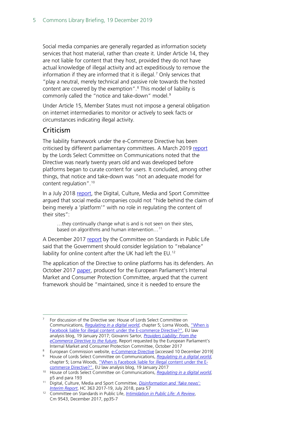Social media companies are generally regarded as information society services that host material, rather than create it. Under Article 14, they are not liable for content that they host, provided they do not have actual knowledge of illegal activity and act expeditiously to remove the information if they are informed that it is illegal.[7](#page-4-0) Only services that "play a neutral, merely technical and passive role towards the hosted content are covered by the exemption".<sup>[8](#page-4-1)</sup> This model of liability is commonly called the "notice and take-down" model.<sup>[9](#page-4-2)</sup>

Under Article 15, Member States must not impose a general obligation on internet intermediaries to monitor or actively to seek facts or circumstances indicating illegal activity.

### Criticism

The liability framework under the e-Commerce Directive has been criticised by different parliamentary committees. A March 2019 [report](https://publications.parliament.uk/pa/ld201719/ldselect/ldcomuni/299/299.pdf) by the Lords Select Committee on Communications noted that the Directive was nearly twenty years old and was developed before platforms began to curate content for users. It concluded, among other things, that notice and take-down was "not an adequate model for content regulation". [10](#page-4-3)

In a July 2018 [report,](https://publications.parliament.uk/pa/cm201719/cmselect/cmcumeds/363/363.pdf) the Digital, Culture, Media and Sport Committee argued that social media companies could not "hide behind the claim of being merely a 'platform'" with no role in regulating the content of their sites":

…they continually change what is and is not seen on their sites, based on algorithms and human intervention...<sup>[11](#page-4-4)</sup>

A December 2017 [report](https://assets.publishing.service.gov.uk/government/uploads/system/uploads/attachment_data/file/666927/6.3637_CO_v6_061217_Web3.1__2_.pdf) by the Committee on Standards in Public Life said that the Government should consider legislation to "rebalance" liability for online content after the UK had left the EU.<sup>[12](#page-4-5)</sup>

The application of the Directive to online platforms has its defenders. An October 2017 [paper,](http://www.europarl.europa.eu/RegData/etudes/IDAN/2017/614179/IPOL_IDA(2017)614179_EN.pdf) produced for the European Parliament's Internal Market and Consumer Protection Committee, argued that the current framework should be "maintained, since it is needed to ensure the

<span id="page-4-0"></span> <sup>7</sup> For discussion of the Directive see: House of Lords Select Committee on Communications, *[Regulating in a digital world](https://publications.parliament.uk/pa/ld201719/ldselect/ldcomuni/299/299.pdf)*, chapter 5; Lorna Woods, "When is [Facebook liable for illegal content under the E-commerce Directive?",](https://eulawanalysis.blogspot.com/2017/01/when-is-facebook-liable-for-illegal.html) EU law analysis blog, 19 January 2017; Giovanni Sartor*, [Providers Liability: From the](http://www.europarl.europa.eu/RegData/etudes/IDAN/2017/614179/IPOL_IDA(2017)614179_EN.pdf)  [eCommerce Directive to the future](http://www.europarl.europa.eu/RegData/etudes/IDAN/2017/614179/IPOL_IDA(2017)614179_EN.pdf)*, Report requested by the European Parliament's Internal Market and Consumer Protection Committee, October 2017

<span id="page-4-1"></span><sup>&</sup>lt;sup>8</sup> European Commission website, [e-Commerce Directive](https://ec.europa.eu/digital-single-market/en/e-commerce-directive) [accessed 10 December 2019]

<span id="page-4-2"></span><sup>9</sup> House of Lords Select Committee on Communications, *[Regulating in a digital world](https://publications.parliament.uk/pa/ld201719/ldselect/ldcomuni/299/299.pdf)*, chapter 5; Lorna Woods, ["When is Facebook liable for illegal content under the E](https://eulawanalysis.blogspot.com/2017/01/when-is-facebook-liable-for-illegal.html)[commerce Directive?",](https://eulawanalysis.blogspot.com/2017/01/when-is-facebook-liable-for-illegal.html) EU law analysis blog, 19 January 2017

<span id="page-4-3"></span><sup>10</sup> House of Lords Select Committee on Communications, *[Regulating in a digital world](https://publications.parliament.uk/pa/ld201719/ldselect/ldcomuni/299/299.pdf)*, p5 and para 193

<span id="page-4-4"></span><sup>11</sup> Digital, Culture, Media and Sport Committee, *[Disinformation and 'fake news':](https://publications.parliament.uk/pa/cm201719/cmselect/cmcumeds/363/363.pdf)  [Interim Report](https://publications.parliament.uk/pa/cm201719/cmselect/cmcumeds/363/363.pdf)*, HC 363 2017-19, July 2018, para 57

<span id="page-4-5"></span><sup>12</sup> Committee on Standards in Public Life, *[Intimidation in Public Life: A Review](https://www.gov.uk/government/uploads/system/uploads/attachment_data/file/666927/6.3637_CO_v6_061217_Web3.1__2_.pdf)*, Cm 9543, December 2017, pp35-7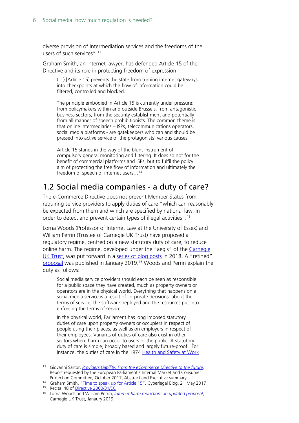diverse provision of intermediation services and the freedoms of the users of such services".[13](#page-5-1)

Graham Smith, an internet lawyer, has defended Article 15 of the Directive and its role in protecting freedom of expression:

(…) [Article 15] prevents the state from turning internet gateways into checkpoints at which the flow of information could be filtered, controlled and blocked.

The principle embodied in Article 15 is currently under pressure: from policymakers within and outside Brussels, from antagonistic business sectors, from the security establishment and potentially from all manner of speech prohibitionists. The common theme is that online intermediaries – ISPs, telecommunications operators, social media platforms - are gatekeepers who can and should be pressed into active service of the protagonists' various causes.

Article 15 stands in the way of the blunt instrument of compulsory general monitoring and filtering. It does so not for the benefit of commercial platforms and ISPs, but to fulfil the policy aim of protecting the free flow of information and ultimately the freedom of speech of internet users…[14](#page-5-2)

## <span id="page-5-0"></span>1.2 Social media companies - a duty of care?

The e-Commerce Directive does not prevent Member States from requiring service providers to apply duties of care "which can reasonably be expected from them and which are specified by national law, in order to detect and prevent certain types of illegal activities".[15](#page-5-3)

Lorna Woods (Professor of Internet Law at the University of Essex) and William Perrin (Trustee of Carnegie UK Trust) have proposed a regulatory regime, centred on a new statutory duty of care, to reduce online harm. The regime, developed under the "aegis" of the Carnegie [UK Trust,](https://www.carnegieuktrust.org.uk/) was put forward in a [series of blog posts](https://www.carnegieuktrust.org.uk/project/harm-reduction-in-social-media/) in 2018. A "refined" [proposal](https://d1ssu070pg2v9i.cloudfront.net/pex/carnegie_uk_trust/2019/01/27135118/Internet-Harm-Reduction-final.pdf) was published in January 2019.<sup>[16](#page-5-4)</sup> Woods and Perrin explain the duty as follows:

Social media service providers should each be seen as responsible for a public space they have created, much as property owners or operators are in the physical world. Everything that happens on a social media service is a result of corporate decisions: about the terms of service, the software deployed and the resources put into enforcing the terms of service.

In the physical world, Parliament has long imposed statutory duties of care upon property owners or occupiers in respect of people using their places, as well as on employers in respect of their employees. Variants of duties of care also exist in other sectors where harm can occur to users or the public. A statutory duty of care is simple, broadly based and largely future-proof. For instance, the duties of care in the 1974 Health and Safety at Work

<span id="page-5-1"></span> <sup>13</sup> Giovanni Sartor, *[Providers Liability: From the eCommerce Directive to the future](http://www.europarl.europa.eu/RegData/etudes/IDAN/2017/614179/IPOL_IDA(2017)614179_EN.pdf)*, Report requested by the European Parliament's Internal Market and Consumer Protection Committee, October 2017, Abstract and Executive summary

<span id="page-5-2"></span><sup>&</sup>lt;sup>14</sup> Graham Smith[, "Time to speak up for Article 15",](https://www.cyberleagle.com/2017/05/time-to-speak-up-for-article-15.html) Cyberlegal Blog, 21 May 2017 <sup>15</sup> Recital 48 of [Directive 2000/31/EC](https://eur-lex.europa.eu/legal-content/EN/TXT/PDF/?uri=CELEX:32000L0031&from=EN)

<span id="page-5-4"></span><span id="page-5-3"></span><sup>16</sup> Lorna Woods and William Perrin, *[Internet harm reduction: an updated proposal](https://d1ssu070pg2v9i.cloudfront.net/pex/carnegie_uk_trust/2019/01/27135118/Internet-Harm-Reduction-final.pdf)*, Carnegie UK Trust, Janaury 2019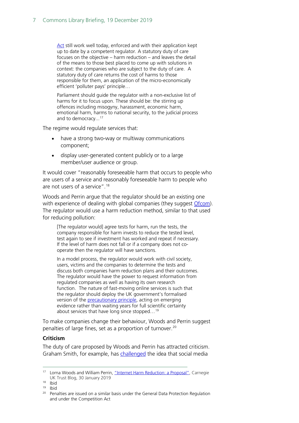[Act](https://www.legislation.gov.uk/ukpga/1974/37) still work well today, enforced and with their application kept up to date by a competent regulator. A statutory duty of care focuses on the objective – harm reduction – and leaves the detail of the means to those best placed to come up with solutions in context: the companies who are subject to the duty of care. A statutory duty of care returns the cost of harms to those responsible for them, an application of the micro-economically efficient 'polluter pays' principle…

Parliament should guide the regulator with a non-exclusive list of harms for it to focus upon. These should be: the stirring up offences including misogyny, harassment, economic harm, emotional harm, harms to national security, to the judicial process and to democracy... [17](#page-6-0)

The regime would regulate services that:

- have a strong two-way or multiway communications component;
- display user-generated content publicly or to a large member/user audience or group.

It would cover "reasonably foreseeable harm that occurs to people who are users of a service and reasonably foreseeable harm to people who are not users of a service".<sup>[18](#page-6-1)</sup>

Woods and Perrin argue that the regulator should be an existing one with experience of dealing with global companies (they suggest [Ofcom\)](https://www.ofcom.org.uk/home). The regulator would use a harm reduction method, similar to that used for reducing pollution:

[The regulator would] agree tests for harm, run the tests, the company responsible for harm invests to reduce the tested level, test again to see if investment has worked and repeat if necessary. If the level of harm does not fall or if a company does not cooperate then the regulator will have sanctions.

In a model process, the regulator would work with civil society, users, victims and the companies to determine the tests and discuss both companies harm reduction plans and their outcomes. The regulator would have the power to request information from regulated companies as well as having its own research function. The nature of fast-moving online services is such that the regulator should deploy the UK government's formalised version of the [precautionary principle,](http://www.hse.gov.uk/aboutus/meetings/committees/ilgra/pppa.htm) acting on emerging evidence rather than waiting years for full scientific certainty about services that have long since stopped…[19](#page-6-2)

To make companies change their behaviour, Woods and Perrin suggest penalties of large fines, set as a proportion of turnover. [20](#page-6-3)

#### **Criticism**

The duty of care proposed by Woods and Perrin has attracted criticism. Graham Smith, for example, has [challenged](https://www.cyberleagle.com/2018/10/take-care-with-that-social-media-duty.html) the idea that social media

<span id="page-6-0"></span><sup>&</sup>lt;sup>17</sup> Lorna Woods and William Perrin, ["Internet Harm Reduction: a Proposal",](https://www.carnegieuktrust.org.uk/blog/internet-harm-reduction-a-proposal/) Carnegie UK Trust Blog, 30 January 2019

<span id="page-6-1"></span><sup>18</sup> Ibid

<span id="page-6-2"></span> $19$  Ibid

<span id="page-6-3"></span><sup>&</sup>lt;sup>20</sup> Penalties are issued on a similar basis under the General Data Protection Regulation and under the Competition Act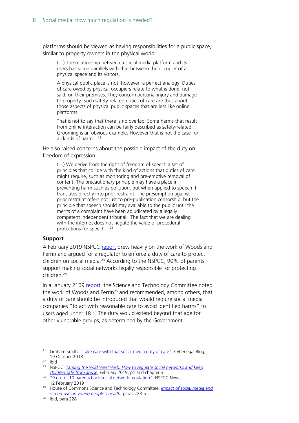platforms should be viewed as having responsibilities for a public space, similar to property owners in the physical world:

(…) The relationship between a social media platform and its users has some parallels with that between the occupier of a physical space and its visitors.

A physical public place is not, however, a perfect analogy. Duties of care owed by physical occupiers relate to what is done, not said, on their premises. They concern personal injury and damage to property. Such safety-related duties of care are thus about those aspects of physical public spaces that are less like online platforms.

That is not to say that there is no overlap. Some harms that result from online interaction can be fairly described as safety-related. Grooming is an obvious example. However that is not the case for all kinds of harm…[21](#page-7-0)

He also raised concerns about the possible impact of the duty on freedom of expression:

(…) We derive from the right of freedom of speech a set of principles that collide with the kind of actions that duties of care might require, such as monitoring and pre-emptive removal of content. The precautionary principle may have a place in preventing harm such as pollution, but when applied to speech it translates directly into prior restraint. The presumption against prior restraint refers not just to pre-publication censorship, but the principle that speech should stay available to the public until the merits of a complaint have been adjudicated by a legally competent independent tribunal. The fact that we are dealing with the internet does not negate the value of procedural protections for speech…[22](#page-7-1)

#### **Support**

A February 2019 NSPCC [report](https://www.nspcc.org.uk/globalassets/documents/news/taming-the-wild-west-web-regulate-social-networks.pdf) drew heavily on the work of Woods and Perrin and argued for a regulator to enforce a duty of care to protect children on social media. [23](#page-7-2) According to the NSPCC, 90% of parents support making social networks legally responsible for protecting children. [24](#page-7-3)

In a January 2109 [report,](https://publications.parliament.uk/pa/cm201719/cmselect/cmsctech/822/822.pdf) the Science and Technology Committee noted the work of Woods and Perrin<sup>25</sup> and recommended, among others, that a duty of care should be introduced that would require social media companies "to act with reasonable care to avoid identified harms" to users aged under 18.<sup>[26](#page-7-5)</sup> The duty would extend beyond that age for other vulnerable groups, as determined by the Government.

<span id="page-7-0"></span><sup>&</sup>lt;sup>21</sup> Graham Smith[, "Take care with that social media duty of care",](https://www.cyberleagle.com/2018/10/take-care-with-that-social-media-duty.html) Cyberlegal Blog, 19 October 2018<br><sup>22</sup> Ibid

<span id="page-7-2"></span><span id="page-7-1"></span><sup>23</sup> NSPCC, *[Taming the Wild West Web: How to regulate social networks and keep](https://www.nspcc.org.uk/globalassets/documents/news/taming-the-wild-west-web-regulate-social-networks.pdf)  [children safe from abuse](https://www.nspcc.org.uk/globalassets/documents/news/taming-the-wild-west-web-regulate-social-networks.pdf)*, February 2019, p1 and chapter 3

<span id="page-7-3"></span><sup>&</sup>lt;sup>24</sup> ["9 out of 10 parents back social network regulation",](https://www.nspcc.org.uk/what-we-do/news-opinion/9-in-10-parents-back-social-network-regulation/) NSPCC News, 12 February 2019

<span id="page-7-4"></span><sup>25</sup> House of Commons Science and Technology Committee, *[Impact of social media and](https://publications.parliament.uk/pa/cm201719/cmselect/cmsctech/822/822.pdf)  [screen-use on young people's health](https://publications.parliament.uk/pa/cm201719/cmselect/cmsctech/822/822.pdf)*, paras 223-5

<span id="page-7-5"></span> $26$  Ibid, para 228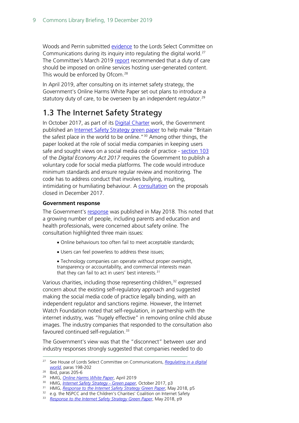Woods and Perrin submitted [evidence](http://data.parliament.uk/writtenevidence/committeeevidence.svc/evidencedocument/communications-committee/the-internet-to-regulate-or-not-to-regulate/written/82684.html) to the Lords Select Committee on Communications during its inquiry into regulating the digital world.[27](#page-8-1) The Committee's March 2019 [report](https://publications.parliament.uk/pa/ld201719/ldselect/ldcomuni/299/299.pdf) recommended that a duty of care should be imposed on online services hosting user-generated content. This would be enforced by Ofcom.<sup>[28](#page-8-2)</sup>

In April 2019, after consulting on its internet safety strategy, the Government's Online Harms White Paper set out plans to introduce a statutory duty of care, to be overseen by an independent regulator.<sup>[29](#page-8-3)</sup>

## <span id="page-8-0"></span>1.3 The Internet Safety Strategy

In October 2017, as part of its [Digital Charter](https://www.gov.uk/government/publications/digital-charter) work, the Government published an [Internet Safety Strategy green paper](https://assets.publishing.service.gov.uk/government/uploads/system/uploads/attachment_data/file/650949/Internet_Safety_Strategy_green_paper.pdf) to help make "Britain the safest place in the world to be online."<sup>[30](#page-8-4)</sup> Among other things, the paper looked at the role of social media companies in keeping users safe and sought views on a social media code of practice - [section 103](http://www.legislation.gov.uk/ukpga/2017/30/section/103/enacted) of the *Digital Economy Act 2017* requires the Government to publish a voluntary code for social media platforms. The code would introduce minimum standards and ensure regular review and monitoring. The code has to address conduct that involves bullying, insulting, intimidating or humiliating behaviour. A [consultation](https://www.gov.uk/government/consultations/internet-safety-strategy-green-paper) on the proposals closed in December 2017.

#### **Government response**

The Government's [response](https://assets.publishing.service.gov.uk/government/uploads/system/uploads/attachment_data/file/708873/Government_Response_to_the_Internet_Safety_Strategy_Green_Paper_-_Final.pdf) was published in May 2018. This noted that a growing number of people, including parents and education and health professionals, were concerned about safety online. The consultation highlighted three main issues:

- Online behaviours too often fail to meet acceptable standards;
- Users can feel powerless to address these issues;
- Technology companies can operate without proper oversight, transparency or accountability, and commercial interests mean that they can fail to act in users' best interests.<sup>[31](#page-8-5)</sup>

Various charities, including those representing children,<sup>[32](#page-8-6)</sup> expressed concern about the existing self-regulatory approach and suggested making the social media code of practice legally binding, with an independent regulator and sanctions regime. However, the Internet Watch Foundation noted that self-regulation, in partnership with the internet industry, was "hugely effective" in removing online child abuse images. The industry companies that responded to the consultation also favoured continued self-regulation.<sup>[33](#page-8-7)</sup>

The Government's view was that the "disconnect" between user and industry responses strongly suggested that companies needed to do

<span id="page-8-1"></span> <sup>27</sup> See House of Lords Select Committee on Communications, *[Regulating in a digital](https://publications.parliament.uk/pa/ld201719/ldselect/ldcomuni/299/299.pdf)  [world](https://publications.parliament.uk/pa/ld201719/ldselect/ldcomuni/299/299.pdf)*, paras 198-202

<span id="page-8-2"></span> $28$  Ibid, paras 205-6

<span id="page-8-3"></span><sup>29</sup> HMG, *[Online Harms White Paper](https://assets.publishing.service.gov.uk/government/uploads/system/uploads/attachment_data/file/793360/Online_Harms_White_Paper.pdf)*, April 2019

<span id="page-8-4"></span><sup>30</sup> HMG, *[Internet Safety Strategy -](https://assets.publishing.service.gov.uk/government/uploads/system/uploads/attachment_data/file/650949/Internet_Safety_Strategy_green_paper.pdf) Green paper*, October 2017, p3

<span id="page-8-5"></span><sup>&</sup>lt;sup>31</sup> HMG, *[Response to the Internet Safety Strategy Green Paper](https://assets.publishing.service.gov.uk/government/uploads/system/uploads/attachment_data/file/708873/Government_Response_to_the_Internet_Safety_Strategy_Green_Paper_-_Final.pdf)*, May 2018, p5

<span id="page-8-6"></span><sup>&</sup>lt;sup>32</sup> e.g. the NSPCC and the Children's Charities' Coalition on Internet Safety

<span id="page-8-7"></span><sup>&</sup>lt;sup>33</sup> *[Response to the Internet Safety Strategy Green Paper](https://assets.publishing.service.gov.uk/government/uploads/system/uploads/attachment_data/file/708873/Government_Response_to_the_Internet_Safety_Strategy_Green_Paper_-_Final.pdf)*, May 2018, p9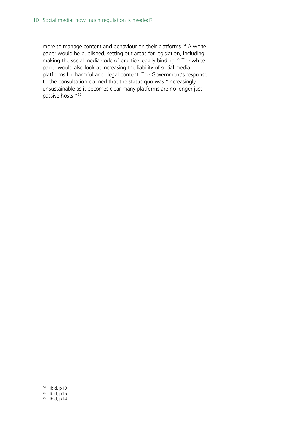more to manage content and behaviour on their platforms.<sup>[34](#page-9-0)</sup> A white paper would be published, setting out areas for legislation, including making the social media code of practice legally binding.<sup>[35](#page-9-1)</sup> The white paper would also look at increasing the liability of social media platforms for harmful and illegal content. The Government's response to the consultation claimed that the status quo was "increasingly unsustainable as it becomes clear many platforms are no longer just passive hosts."[36](#page-9-2)

<span id="page-9-0"></span> <sup>34</sup> Ibid, p13

<span id="page-9-1"></span><sup>35</sup> Ibid, p15

<span id="page-9-2"></span><sup>36</sup> Ibid, p14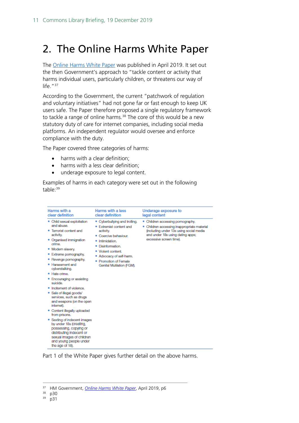## <span id="page-10-0"></span>2. The Online Harms White Paper

The [Online Harms White Paper](https://assets.publishing.service.gov.uk/government/uploads/system/uploads/attachment_data/file/793360/Online_Harms_White_Paper.pdf) was published in April 2019. It set out the then Government's approach to "tackle content or activity that harms individual users, particularly children, or threatens our way of life."<sup>[37](#page-10-1)</sup>

According to the Government, the current "patchwork of regulation and voluntary initiatives" had not gone far or fast enough to keep UK users safe. The Paper therefore proposed a single regulatory framework to tackle a range of online harms. [38](#page-10-2) The core of this would be a new statutory duty of care for internet companies, including social media platforms. An independent regulator would oversee and enforce compliance with the duty.

The Paper covered three categories of harms:

- harms with a clear definition;
- harms with a less clear definition;
- underage exposure to legal content.

Examples of harms in each category were set out in the following table:<sup>[39](#page-10-3)</sup>

| Harms with a<br>clear definition                                                                                                                                                                                                                                                                                        | Harms with a less<br>clear definition                                                                                                                                                                                                         | Underage exposure to<br>legal content                                                                                                                                                      |
|-------------------------------------------------------------------------------------------------------------------------------------------------------------------------------------------------------------------------------------------------------------------------------------------------------------------------|-----------------------------------------------------------------------------------------------------------------------------------------------------------------------------------------------------------------------------------------------|--------------------------------------------------------------------------------------------------------------------------------------------------------------------------------------------|
| . Child sexual exploitation<br>and abuse.<br>Terrorist content and<br>activity.<br>• Organised immigration<br>crime<br>• Modern slavery.<br>· Extreme pornography.<br>• Revenge pornography.<br>· Harassment and<br>cyberstalking.<br>· Hate crime.<br>· Encouraging or assisting<br>suicide<br>Incitement of violence. | • Cyberbullying and trolling.<br>• Extremist content and<br>activity.<br>• Coercive behaviour.<br>· Infimidation<br>· Disinformation.<br>• Violent content.<br>• Advocacy of self-harm.<br>· Promotion of Female<br>Genital Mutilation (FGM). | . Children accessing pornography.<br>• Children accessing inappropriate material<br>(including under 13s using social media<br>and under 18s using dating apps;<br>excessive screen time). |
| . Sale of illegal goods/<br>services, such as drugs<br>and weapons (on the open<br>internet).                                                                                                                                                                                                                           |                                                                                                                                                                                                                                               |                                                                                                                                                                                            |
| • Content illegally uploaded<br>from prisons.                                                                                                                                                                                                                                                                           |                                                                                                                                                                                                                                               |                                                                                                                                                                                            |
| • Sexting of indecent images<br>by under 18s (creating,<br>possessing, copying or<br>distributing indecent or<br>sexual images of children<br>and young people under<br>the age of 18).                                                                                                                                 |                                                                                                                                                                                                                                               |                                                                                                                                                                                            |

Part 1 of the White Paper gives further detail on the above harms.

<span id="page-10-1"></span> <sup>37</sup> HM Government, *[Online Harms White Paper](https://assets.publishing.service.gov.uk/government/uploads/system/uploads/attachment_data/file/793360/Online_Harms_White_Paper.pdf)*, April 2019, p6

<span id="page-10-3"></span><span id="page-10-2"></span><sup>38</sup> p30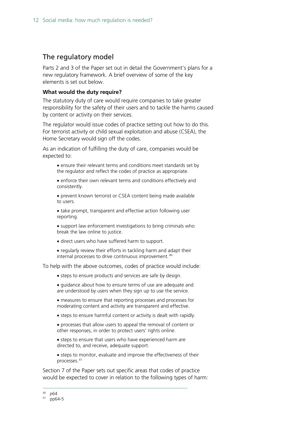### The regulatory model

Parts 2 and 3 of the Paper set out in detail the Government's plans for a new regulatory framework. A brief overview of some of the key elements is set out below.

#### **What would the duty require?**

The statutory duty of care would require companies to take greater responsibility for the safety of their users and to tackle the harms caused by content or activity on their services.

The regulator would issue codes of practice setting out how to do this. For terrorist activity or child sexual exploitation and abuse (CSEA), the Home Secretary would sign off the codes.

As an indication of fulfilling the duty of care, companies would be expected to:

• ensure their relevant terms and conditions meet standards set by the regulator and reflect the codes of practice as appropriate.

• enforce their own relevant terms and conditions effectively and consistently.

• prevent known terrorist or CSEA content being made available to users.

- take prompt, transparent and effective action following user reporting.
- support law enforcement investigations to bring criminals who break the law online to justice.
- direct users who have suffered harm to support.
- regularly review their efforts in tackling harm and adapt their internal processes to drive continuous improvement.<sup>[40](#page-11-0)</sup>

To help with the above outcomes, codes of practice would include:

- steps to ensure products and services are safe by design.
- guidance about how to ensure terms of use are adequate and are understood by users when they sign up to use the service.
- measures to ensure that reporting processes and processes for moderating content and activity are transparent and effective.
- steps to ensure harmful content or activity is dealt with rapidly.
- processes that allow users to appeal the removal of content or other responses, in order to protect users' rights online.
- steps to ensure that users who have experienced harm are directed to, and receive, adequate support.
- steps to monitor, evaluate and improve the effectiveness of their processes.[41](#page-11-1)

Section 7 of the Paper sets out specific areas that codes of practice would be expected to cover in relation to the following types of harm:

<span id="page-11-1"></span><span id="page-11-0"></span> <sup>40</sup> p64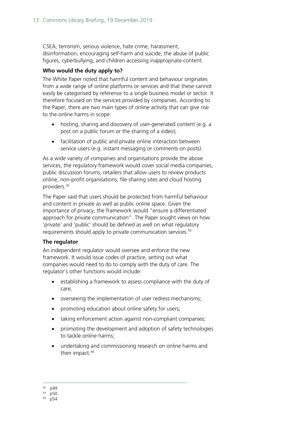CSEA, terrorism, serious violence, hate crime, harassment, disinformation, encouraging self-harm and suicide, the abuse of public figures, cyberbullying, and children accessing inappropriate content.

#### **Who would the duty apply to?**

The White Paper noted that harmful content and behaviour originates from a wide range of online platforms or services and that these cannot easily be categorised by reference to a single business model or sector. It therefore focused on the *services* provided by companies. According to the Paper, there are two main types of online activity that can give rise to the online harms in scope:

- hosting, sharing and discovery of user-generated content (e.g. a post on a public forum or the sharing of a video);
- facilitation of public and private online interaction between service users (e.g. instant messaging or comments on posts).

As a wide variety of companies and organisations provide the above services, the regulatory framework would cover social media companies, public discussion forums, retailers that allow users to review products online, non-profit organisations, file sharing sites and cloud hosting providers.[42](#page-12-0)

The Paper said that users should be protected from harmful behaviour and content in private as well as public online space. Given the importance of privacy, the framework would "ensure a differentiated approach for private communication". The Paper sought views on how 'private' and 'public' should be defined as well on what regulatory requirements should apply to private communication services. [43](#page-12-1)

#### **The regulator**

An independent regulator would oversee and enforce the new framework. It would issue codes of practice, setting out what companies would need to do to comply with the duty of care. The regulator's other functions would include:

- establishing a framework to assess compliance with the duty of care;
- overseeing the implementation of user redress mechanisms;
- promoting education about online safety for users;
- taking enforcement action against non-compliant companies;
- promoting the development and adoption of safety technologies to tackle online harms;
- undertaking and commissioning research on online harms and their impact.<sup>44</sup>

<span id="page-12-0"></span> $^{42}_{43}$  p49

<span id="page-12-1"></span> $43$  p50<br>44 p54

<span id="page-12-2"></span>p54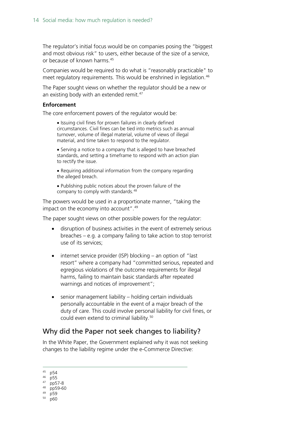The regulator's initial focus would be on companies posing the "biggest and most obvious risk" to users, either because of the size of a service, or because of known harms. [45](#page-13-0)

Companies would be required to do what is "reasonably practicable" to meet regulatory requirements. This would be enshrined in legislation.<sup>[46](#page-13-1)</sup>

The Paper sought views on whether the regulator should be a new or an existing body with an extended remit.<sup>47</sup>

#### **Enforcement**

The core enforcement powers of the regulator would be:

• Issuing civil fines for proven failures in clearly defined circumstances. Civil fines can be tied into metrics such as annual turnover, volume of illegal material, volume of views of illegal material, and time taken to respond to the regulator.

• Serving a notice to a company that is alleged to have breached standards, and setting a timeframe to respond with an action plan to rectify the issue.

• Requiring additional information from the company regarding the alleged breach.

• Publishing public notices about the proven failure of the company to comply with standards.<sup>[48](#page-13-3)</sup>

The powers would be used in a proportionate manner, "taking the impact on the economy into account".<sup>[49](#page-13-4)</sup>

The paper sought views on other possible powers for the regulator:

- disruption of business activities in the event of extremely serious breaches – e.g. a company failing to take action to stop terrorist use of its services;
- internet service provider (ISP) blocking an option of "last resort" where a company had "committed serious, repeated and egregious violations of the outcome requirements for illegal harms, failing to maintain basic standards after repeated warnings and notices of improvement";
- senior management liability holding certain individuals personally accountable in the event of a major breach of the duty of care. This could involve personal liability for civil fines, or could even extend to criminal liability.<sup>[50](#page-13-5)</sup>

## Why did the Paper not seek changes to liability?

In the White Paper, the Government explained why it was not seeking changes to the liability regime under the e-Commerce Directive:

<span id="page-13-0"></span>45 p54

<span id="page-13-4"></span><sup>49</sup> p59

<span id="page-13-1"></span><sup>46</sup> p55

<span id="page-13-2"></span><sup>47</sup> pp57-8

<span id="page-13-3"></span><sup>48</sup> pp59-60

<span id="page-13-5"></span><sup>50</sup> p60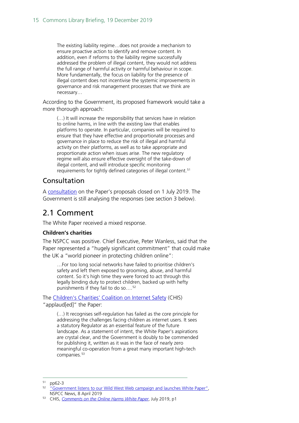The existing liability regime…does not provide a mechanism to ensure proactive action to identify and remove content. In addition, even if reforms to the liability regime successfully addressed the problem of illegal content, they would not address the full range of harmful activity or harmful behaviour in scope. More fundamentally, the focus on liability for the presence of illegal content does not incentivise the systemic improvements in governance and risk management processes that we think are necessary…

According to the Government, its proposed framework would take a more thorough approach:

(…) It will increase the responsibility that services have in relation to online harms, in line with the existing law that enables platforms to operate. In particular, companies will be required to ensure that they have effective and proportionate processes and governance in place to reduce the risk of illegal and harmful activity on their platforms, as well as to take appropriate and proportionate action when issues arise. The new regulatory regime will also ensure effective oversight of the take-down of illegal content, and will introduce specific monitoring requirements for tightly defined categories of illegal content.<sup>[51](#page-14-1)</sup>

## Consultation

A [consultation](https://www.gov.uk/government/consultations/online-harms-white-paper) on the Paper's proposals closed on 1 July 2019. The Government is still analysing the responses (see section 3 below).

## <span id="page-14-0"></span>2.1 Comment

The White Paper received a mixed response.

#### **Children's charities**

The NSPCC was positive. Chief Executive, Peter Wanless, said that the Paper represented a "hugely significant commitment" that could make the UK a "world pioneer in protecting children online":

…For too long social networks have failed to prioritise children's safety and left them exposed to grooming, abuse, and harmful content. So it's high time they were forced to act through this legally binding duty to protect children, backed up with hefty punishments if they fail to do so....<sup>[52](#page-14-2)</sup>

The [Children's Charities' Coalition on Internet Safety](http://www.chis.org.uk/) (CHIS) "applaud[ed]" the Paper:

(…) It recognises self-regulation has failed as the core principle for addressing the challenges facing children as internet users. It sees a statutory Regulator as an essential feature of the future landscape. As a statement of intent, the White Paper's aspirations are crystal clear, and the Government is doubly to be commended for publishing it, written as it was in the face of nearly zero meaningful co-operation from a great many important high-tech companies.<sup>[53](#page-14-3)</sup>

<span id="page-14-2"></span><span id="page-14-1"></span> $51$  pp62-3

<sup>52</sup> ["Government listens to our Wild West Web campaign and launches White Paper",](https://www.nspcc.org.uk/what-we-do/news-opinion/government-listens-wild-west-web-campaign-launches-white-paper/)  NSPCC News, 8 April 2019

<span id="page-14-3"></span><sup>53</sup> CHIS, *[Comments on the Online Harms White Paper](http://www.chis.org.uk/file_download/102)*, July 2019, p1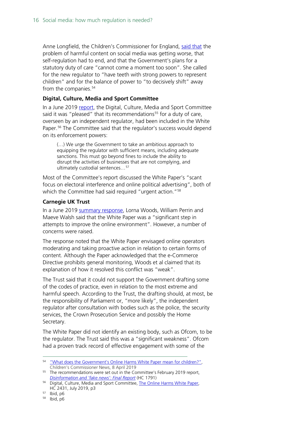Anne Longfield, the Children's Commissioner for England, [said that](https://www.childrenscommissioner.gov.uk/2019/04/08/what-does-the-governments-online-harms-white-paper-mean-for-children/) the problem of harmful content on social media was getting worse, that self-regulation had to end, and that the Government's plans for a statutory duty of care "cannot come a moment too soon". She called for the new regulator to "have teeth with strong powers to represent children" and for the balance of power to "to decisively shift" away from the companies.<sup>[54](#page-15-0)</sup>

#### **Digital, Culture, Media and Sport Committee**

In a June 2019 [report,](https://publications.parliament.uk/pa/cm201719/cmselect/cmcumeds/2431/2431.pdf) the Digital, Culture, Media and Sport Committee said it was "pleased" that its recommendations<sup>[55](#page-15-1)</sup> for a duty of care, overseen by an independent regulator, had been included in the White Paper.<sup>[56](#page-15-2)</sup> The Committee said that the regulator's success would depend on its enforcement powers:

(…) We urge the Government to take an ambitious approach to equipping the regulator with sufficient means, including adequate sanctions. This must go beyond fines to include the ability to disrupt the activities of businesses that are not complying, and ultimately custodial sentences…[57](#page-15-3)

Most of the Committee's report discussed the White Paper's "scant focus on electoral interference and online political advertising", both of which the Committee had said required "urgent action."<sup>[58](#page-15-4)</sup>

#### **Carnegie UK Trust**

In a June 2019 [summary response,](https://www.carnegieuktrust.org.uk/blog/online-harms-response-cukt/) Lorna Woods, William Perrin and Maeve Walsh said that the White Paper was a "significant step in attempts to improve the online environment". However, a number of concerns were raised.

The response noted that the White Paper envisaged online operators moderating and taking proactive action in relation to certain forms of content. Although the Paper acknowledged that the e-Commerce Directive prohibits general monitoring, Woods et al claimed that its explanation of how it resolved this conflict was "weak".

The Trust said that it could not support the Government drafting some of the codes of practice, even in relation to the most extreme and harmful speech. According to the Trust, the drafting should, at most, be the responsibility of Parliament or, "more likely", the independent regulator after consultation with bodies such as the police, the security services, the Crown Prosecution Service and possibly the Home Secretary.

The White Paper did not identify an existing body, such as Ofcom, to be the regulator. The Trust said this was a "significant weakness". Ofcom had a proven track record of effective engagement with some of the

<span id="page-15-0"></span><sup>&</sup>lt;sup>54</sup> "What does the Government's Online Harms White Paper mean for children?", Children's Commissioner News, 8 April 2019

<span id="page-15-1"></span><sup>&</sup>lt;sup>55</sup> The recommendations were set out in the Committee's February 2019 report, *[Disinformation and 'fake news': Final Report](https://publications.parliament.uk/pa/cm201719/cmselect/cmcumeds/1791/1791.pdf)* (HC 1791)

<span id="page-15-2"></span><sup>&</sup>lt;sup>56</sup> Digital, Culture, Media and Sport Committee, [The Online Harms White Paper,](https://publications.parliament.uk/pa/cm201719/cmselect/cmcumeds/2431/2431.pdf) HC 2431, July 2019, p3

<span id="page-15-4"></span><span id="page-15-3"></span> $57$  Ibid, p6

<sup>58</sup> Ibid, p6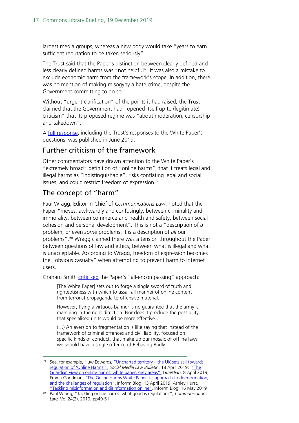largest media groups, whereas a new body would take "years to earn sufficient reputation to be taken seriously".

The Trust said that the Paper's distinction between clearly defined and less clearly defined harms was "not helpful". It was also a mistake to exclude economic harm from the framework's scope. In addition, there was no mention of making misogyny a hate crime, despite the Government committing to do so.

Without "urgent clarification" of the points it had raised, the Trust claimed that the Government had "opened itself up to (legitimate) criticism" that its proposed regime was "about moderation, censorship and takedown".

A [full response,](https://d1ssu070pg2v9i.cloudfront.net/pex/carnegie_uk_trust/2019/07/04163920/Online-Harm-White-paper-.pdf) including the Trust's responses to the White Paper's questions, was published in June 2019.

## Further criticism of the framework

Other commentators have drawn attention to the White Paper's "extremely broad" definition of "online harms", that it treats legal and illegal harms as "indistinguishable", risks conflating legal and social issues, and could restrict freedom of expression.<sup>59</sup>

## The concept of "harm"

Paul Wragg, Editor in Chief of *Communications Law*, noted that the Paper "moves, awkwardly and confusingly, between criminality and immorality, between commerce and health and safety, between social cohesion and personal development". This is not a "description of *a* problem, or even *some* problems. It is a description of *all* our problems".<sup>[60](#page-16-1)</sup> Wragg claimed there was a tension throughout the Paper between questions of law and ethics, between what is illegal and what is unacceptable. According to Wragg, freedom of expression becomes the "obvious casualty" when attempting to prevent harm to internet users.

Graham Smith [criticised](https://inforrm.org/2019/04/30/users-behaving-badly-the-online-harms-white-paper-graham-smith/) the Paper's "all-encompassing" approach:

[The White Paper] sets out to forge a single sword of truth and righteousness with which to assail all manner of online content from terrorist propaganda to offensive material.

However, flying a virtuous banner is no guarantee that the army is marching in the right direction. Nor does it preclude the possibility that specialised units would be more effective…

(…) An aversion to fragmentation is like saying that instead of the framework of criminal offences and civil liability, focused on specific kinds of conduct, that make up our mosaic of offline laws we should have a single offence of Behaving Badly.

<span id="page-16-0"></span><sup>&</sup>lt;sup>59</sup> See, for example, Huw Edwards, "Uncharted territory - the UK sets sail towards [regulation of 'Online Harms'",](https://www.socialmedialawbulletin.com/2019/04/uncharted-territory-the-uk-sets-sail-towards-regulation-of-online-harms/) *Social Media Law Bulletin*, 18 April 2019; ["The](https://www.theguardian.com/commentisfree/2019/apr/08/the-guardian-view-on-online-harms-white-paper-grey-areas)  [Guardian view on online harms: white paper, grey areas",](https://www.theguardian.com/commentisfree/2019/apr/08/the-guardian-view-on-online-harms-white-paper-grey-areas) *Guardian*, 8 April 2019; Emma Goodman, "The Online Harms White Paper: its approach to disinformation. [and the challenges of regulation",](https://inforrm.org/2019/04/13/the-online-harms-white-paper-its-approach-to-disinformation-and-the-challenges-of-regulation-emma-goodman/) Inforrm Blog, 13 April 2019; Ashley Hurst,

<span id="page-16-1"></span>[<sup>&</sup>quot;Tackling misinformation and disinformation online",](https://inforrm.org/2019/05/16/tackling-misinformation-and-disinformation-online-ashley-hurst/) Inforrm Blog, 16 May 2019 <sup>60</sup> Paul Wragg, "Tackling online harms: what good is regulation?", *Communications Law,* Vol 24(2), 2019, pp49-51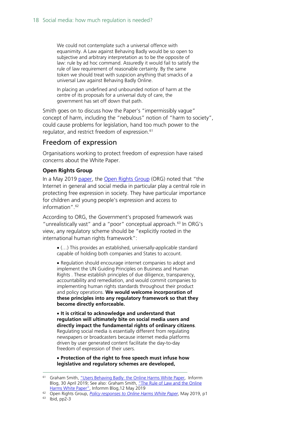We could not contemplate such a universal offence with equanimity. A Law against Behaving Badly would be so open to subjective and arbitrary interpretation as to be the opposite of law: rule by ad hoc command. Assuredly it would fail to satisfy the rule of law requirement of reasonable certainty. By the same token we should treat with suspicion anything that smacks of a universal Law against Behaving Badly Online.

In placing an undefined and unbounded notion of harm at the centre of its proposals for a universal duty of care, the government has set off down that path.

Smith goes on to discuss how the Paper's "impermissibly vague" concept of harm, including the "nebulous" notion of "harm to society", could cause problems for legislation, hand too much power to the regulator, and restrict freedom of expression. [61](#page-17-0)

### Freedom of expression

Organisations working to protect freedom of expression have raised concerns about the White Paper.

#### **Open Rights Group**

In a May 2019 [paper,](https://www.openrightsgroup.org/assets/files/reports/report_pdfs/ORG_Policy_Lines_Online_Harms_WP.pdf) the [Open Rights Group](https://www.openrightsgroup.org/about/) (ORG) noted that "the Internet in general and social media in particular play a central role in protecting free expression in society. They have particular importance for children and young people's expression and access to information".[62](#page-17-1)

According to ORG, the Government's proposed framework was "unrealistically vast" and a "poor" conceptual approach.<sup>[63](#page-17-2)</sup> In ORG's view, any regulatory scheme should be "explicitly rooted in the international human rights framework":

• (…) This provides an established, universally-applicable standard capable of holding both companies and States to account.

• Regulation should encourage internet companies to adopt and implement the UN Guiding Principles on Business and Human Rights . These establish principles of due diligence, transparency, accountability and remediation, and would commit companies to implementing human rights standards throughout their product and policy operations. **We would welcome incorporation of these principles into any regulatory framework so that they become directly enforceable.**

• **It is critical to acknowledge and understand that regulation will ultimately bite on social media users and directly impact the fundamental rights of ordinary citizens**. Regulating social media is essentially different from regulating newspapers or broadcasters because internet media platforms driven by user generated content facilitate the day-to-day freedom of expression of their users.

• **Protection of the right to free speech must infuse how legislative and regulatory schemes are developed,** 

<span id="page-17-0"></span><sup>&</sup>lt;sup>61</sup> Graham Smith, "Users [Behaving Badly: the Online Harms White Paper,](https://inforrm.org/2019/04/30/users-behaving-badly-the-online-harms-white-paper-graham-smith/) Inforrm Blog, 30 April 2019; See also: Graham Smith, ["The Rule of Law and the Online](https://inforrm.org/2019/05/12/the-rule-of-law-and-the-online-harms-white-paper-graham-smith/)  [Harms White Paper",](https://inforrm.org/2019/05/12/the-rule-of-law-and-the-online-harms-white-paper-graham-smith/) Informm Blog, 12 May 2019

<span id="page-17-2"></span><span id="page-17-1"></span><sup>62</sup> Open Rights Group, *[Policy responses to Online Harms White Paper](https://www.openrightsgroup.org/assets/files/reports/report_pdfs/ORG_Policy_Lines_Online_Harms_WP.pdf)*, May 2019, p1

<sup>63</sup> Ibid, pp2-3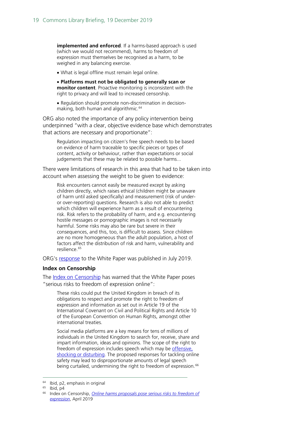**implemented and enforced**. If a harms-based approach is used (which we would not recommend), harms to freedom of expression must themselves be recognised as a harm, to be weighed in any balancing exercise.

• What is legal offline must remain legal online.

• **Platforms must not be obligated to generally scan or monitor content**. Proactive monitoring is inconsistent with the right to privacy and will lead to increased censorship.

• Regulation should promote non-discrimination in decision-making, both human and algorithmic.<sup>[64](#page-18-0)</sup>

ORG also noted the importance of any policy intervention being underpinned "with a clear, objective evidence base which demonstrates that actions are necessary and proportionate":

Regulation impacting on citizen's free speech needs to be based on evidence of harm traceable to specific pieces or types of content, activity or behaviour, rather than expectations or social judgements that these may be related to possible harms...

There were limitations of research in this area that had to be taken into account when assessing the weight to be given to evidence:

Risk encounters cannot easily be measured except by asking children directly, which raises ethical (children might be unaware of harm until asked specifically) and measurement (risk of underor over-reporting) questions. Research is also not able to predict which children will experience harm as a result of encountering risk. Risk refers to the probability of harm, and e.g. encountering hostile messages or pornographic images is not necessarily harmful. Some risks may also be rare but severe in their consequences, and this, too, is difficult to assess. Since children are no more homogeneous than the adult population, a host of factors affect the distribution of risk and harm, vulnerability and resilience.<sup>[65](#page-18-1)</sup>

ORG's [response](https://www.openrightsgroup.org/assets/files/reports/report_pdfs/Online_Harms_Consultation_Response.pdf) to the White Paper was published in July 2019.

#### **Index on Censorship**

The [Index on Censorship](https://www.indexoncensorship.org/what-we-do/) has warned that the White Paper poses "serious risks to freedom of expression online":

These risks could put the United Kingdom in breach of its obligations to respect and promote the right to freedom of expression and information as set out in Article 19 of the International Covenant on Civil and Political Rights and Article 10 of the European Convention on Human Rights, amongst other international treaties.

Social media platforms are a key means for tens of millions of individuals in the United Kingdom to search for, receive, share and impart information, ideas and opinions. The scope of the right to freedom of expression includes speech which may be offensive. [shocking or disturbing.](https://globalfreedomofexpression.columbia.edu/cases/handyside-v-uk/) The proposed responses for tackling online safety may lead to disproportionate amounts of legal speech being curtailed, undermining the right to freedom of expression.<sup>[66](#page-18-2)</sup>

 <sup>64</sup> Ibid, p2, emphasis in original

<span id="page-18-2"></span><span id="page-18-1"></span><span id="page-18-0"></span> $65$  Ibid, p4

<sup>66</sup> Index on Censorship, *[Online harms proposals pose serious risks to freedom of](https://www.indexoncensorship.org/2019/04/online-harms-proposals-pose-serious-risks-to-freedom-of-expression-online/)  [expression](https://www.indexoncensorship.org/2019/04/online-harms-proposals-pose-serious-risks-to-freedom-of-expression-online/)*, April 2019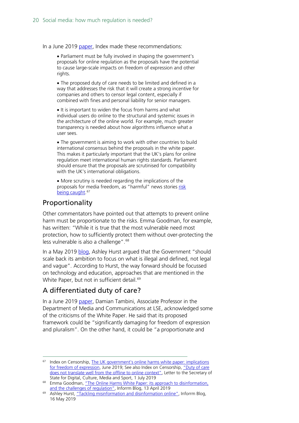In a June 2019 [paper,](https://www.indexoncensorship.org/2019/06/the-uk-governments-online-harms-white-paper-implications-for-freedom-of-expression/) Index made these recommendations:

• Parliament must be fully involved in shaping the government's proposals for online regulation as the proposals have the potential to cause large-scale impacts on freedom of expression and other rights.

• The proposed duty of care needs to be limited and defined in a way that addresses the risk that it will create a strong incentive for companies and others to censor legal content, especially if combined with fines and personal liability for senior managers.

• It is important to widen the focus from harms and what individual users do online to the structural and systemic issues in the architecture of the online world. For example, much greater transparency is needed about how algorithms influence what a user sees.

• The government is aiming to work with other countries to build international consensus behind the proposals in the white paper. This makes it particularly important that the UK's plans for online regulation meet international human rights standards. Parliament should ensure that the proposals are scrutinised for compatibility with the UK's international obligations.

• More scrutiny is needed regarding the implications of the proposals for media freedom, as "harmful" news stories risk [being caught.](https://www.indexoncensorship.org/2019/05/online-harms-and-media-freedom-uk-response-to-council-of-europe-lacks-concrete-details/)<sup>[67](#page-19-0)</sup>

### Proportionality

Other commentators have pointed out that attempts to prevent online harm must be proportionate to the risks. Emma Goodman, for example, has written: "While it is true that the most vulnerable need most protection, how to sufficiently protect them without over-protecting the less vulnerable is also a challenge".<sup>[68](#page-19-1)</sup>

In a May 2019 [blog,](https://inforrm.org/2019/05/16/tackling-misinformation-and-disinformation-online-ashley-hurst/) Ashley Hurst argued that the Government "should scale back its ambition to focus on what is illegal and defined, not legal and vague". According to Hurst, the way forward should be focussed on technology and education, approaches that are mentioned in the White Paper, but not in sufficient detail.<sup>[69](#page-19-2)</sup>

## A differentiated duty of care?

In a June 2019 [paper,](https://www.fljs.org/sites/www.fljs.org/files/publications/Reducing%20Online%20Harms%20through%20a%20Differentiated%20Duty%20of%20Care.pdf) Damian Tambini, Associate Professor in the Department of Media and Communications at LSE, acknowledged some of the criticisms of the White Paper. He said that its proposed framework could be "significantly damaging for freedom of expression and pluralism". On the other hand, it could be "a proportionate and

<span id="page-19-0"></span><sup>&</sup>lt;sup>67</sup> Index on Censorship, The UK government's online harms white paper: implications [for freedom of expression,](https://www.indexoncensorship.org/2019/06/the-uk-governments-online-harms-white-paper-implications-for-freedom-of-expression/) June 2019; See also Index on Censorship, "Duty of care [does not translate well from the offline to online context",](https://www.indexoncensorship.org/2019/07/duty-of-care-does-not-translate-well-from-the-offline-to-online-context/) Letter to the Secretary of State for Digital, Culture, Media and Sport, 1 July 2019

<span id="page-19-1"></span><sup>&</sup>lt;sup>68</sup> Emma Goodman, "The Online Harms White Paper: its approach to disinformation, [and the challenges of regulation",](https://inforrm.org/2019/04/13/the-online-harms-white-paper-its-approach-to-disinformation-and-the-challenges-of-regulation-emma-goodman/) Inforrm Blog, 13 April 2019

<span id="page-19-2"></span><sup>&</sup>lt;sup>69</sup> Ashley Hurst, ["Tackling misinformation and disinformation online",](https://inforrm.org/2019/05/16/tackling-misinformation-and-disinformation-online-ashley-hurst/) Inforrm Blog, 16 May 2019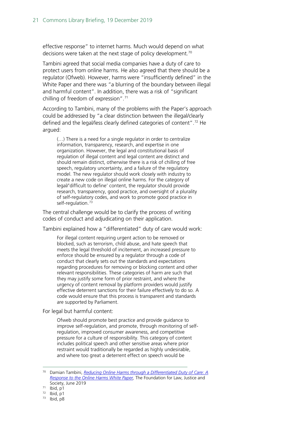effective response" to internet harms. Much would depend on what decisions were taken at the next stage of policy development.<sup>[70](#page-20-0)</sup>

Tambini agreed that social media companies have a duty of care to protect users from online harms. He also agreed that there should be a regulator (Ofweb). However, harms were "insufficiently defined" in the White Paper and there was "a blurring of the boundary between illegal and harmful content". In addition, there was a risk of "significant chilling of freedom of expression". [71](#page-20-1)

According to Tambini, many of the problems with the Paper's approach could be addressed by "a clear distinction between the illegal/clearly defined and the legal/less clearly defined categories of content"[.72](#page-20-2) He argued:

(…) There is a need for a single regulator in order to centralize information, transparency, research, and expertise in one organization. However, the legal and constitutional basis of regulation of illegal content and legal content are distinct and should remain distinct, otherwise there is a risk of chilling of free speech, regulatory uncertainty, and a failure of the regulatory model. The new regulator should work closely with industry to create a new code on illegal online harms. For the category of legal/'difficult to define' content, the regulator should provide research, transparency, good practice, and oversight of a plurality of self-regulatory codes, and work to promote good practice in self-regulation.<sup>[73](#page-20-3)</sup>

The central challenge would be to clarify the process of writing codes of conduct and adjudicating on their application.

Tambini explained how a "differentiated" duty of care would work:

For illegal content requiring urgent action to be removed or blocked, such as terrorism, child abuse, and hate speech that meets the legal threshold of incitement, an increased pressure to enforce should be ensured by a regulator through a code of conduct that clearly sets out the standards and expectations regarding procedures for removing or blocking content and other relevant responsibilities. These categories of harm are such that they may justify some form of prior restraint, and where the urgency of content removal by platform providers would justify effective deterrent sanctions for their failure effectively to do so. A code would ensure that this process is transparent and standards are supported by Parliament.

For legal but harmful content:

Ofweb should promote best practice and provide guidance to improve self-regulation, and promote, through monitoring of selfregulation, improved consumer awareness, and competitive pressure for a culture of responsibility. This category of content includes political speech and other sensitive areas where prior restraint would traditionally be regarded as highly undesirable, and where too great a deterrent effect on speech would be

<span id="page-20-0"></span> <sup>70</sup> Damian Tambini, *[Reducing Online Harms through a Differentiated Duty of Care: A](https://www.fljs.org/sites/www.fljs.org/files/publications/Reducing%20Online%20Harms%20through%20a%20Differentiated%20Duty%20of%20Care.pdf)  [Response to the Online Harms White Paper,](https://www.fljs.org/sites/www.fljs.org/files/publications/Reducing%20Online%20Harms%20through%20a%20Differentiated%20Duty%20of%20Care.pdf)* The Foundation for Law, Justice and Society, June 2019

<span id="page-20-1"></span> $71$  Ibid, p1

<span id="page-20-2"></span> $72$  Ibid, p1

<span id="page-20-3"></span><sup>73</sup> Ibid, p8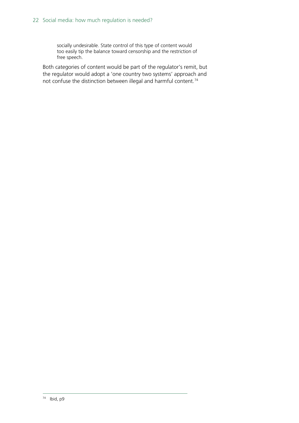socially undesirable. State control of this type of content would too easily tip the balance toward censorship and the restriction of free speech.

<span id="page-21-0"></span>Both categories of content would be part of the regulator's remit, but the regulator would adopt a 'one country two systems' approach and not confuse the distinction between illegal and harmful content.<sup>74</sup>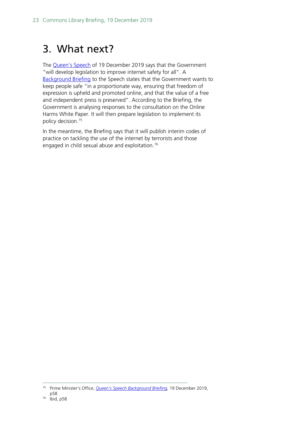## <span id="page-22-0"></span>3. What next?

The [Queen's Speech](https://www.gov.uk/government/speeches/queens-speech-december-2019) of 19 December 2019 says that the Government "will develop legislation to improve internet safety for all". A [Background Briefing](https://assets.publishing.service.gov.uk/government/uploads/system/uploads/attachment_data/file/853886/Queen_s_Speech_December_2019_-_background_briefing_notes.pdf) to the Speech states that the Government wants to keep people safe "in a proportionate way, ensuring that freedom of expression is upheld and promoted online, and that the value of a free and independent press is preserved". According to the Briefing, the Government is analysing responses to the consultation on the Online Harms White Paper. It will then prepare legislation to implement its policy decision[.75](#page-22-1)

In the meantime, the Briefing says that it will publish interim codes of practice on tackling the use of the internet by terrorists and those engaged in child sexual abuse and exploitation.<sup>[76](#page-22-2)</sup>

<span id="page-22-2"></span><span id="page-22-1"></span> <sup>75</sup> Prime Minister's Office, *Queen's Speech [Background Briefing,](https://assets.publishing.service.gov.uk/government/uploads/system/uploads/attachment_data/file/853886/Queen_s_Speech_December_2019_-_background_briefing_notes.pdf)* 19 December 2019, p58